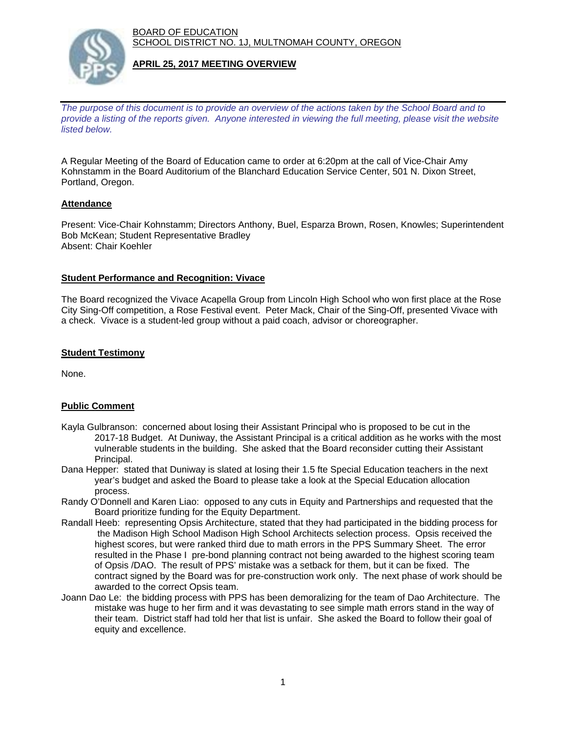BOARD OF EDUCATION SCHOOL DISTRICT NO. 1J, MULTNOMAH COUNTY, OREGON



## **APRIL 25, 2017 MEETING OVERVIEW**

*The purpose of this document is to provide an overview of the actions taken by the School Board and to provide a listing of the reports given. Anyone interested in viewing the full meeting, please visit the website listed below.*

A Regular Meeting of the Board of Education came to order at 6:20pm at the call of Vice-Chair Amy Kohnstamm in the Board Auditorium of the Blanchard Education Service Center, 501 N. Dixon Street, Portland, Oregon.

# **Attendance**

Present: Vice-Chair Kohnstamm; Directors Anthony, Buel, Esparza Brown, Rosen, Knowles; Superintendent Bob McKean; Student Representative Bradley Absent: Chair Koehler

## **Student Performance and Recognition: Vivace**

The Board recognized the Vivace Acapella Group from Lincoln High School who won first place at the Rose City Sing-Off competition, a Rose Festival event. Peter Mack, Chair of the Sing-Off, presented Vivace with a check. Vivace is a student-led group without a paid coach, advisor or choreographer.

## **Student Testimony**

None.

# **Public Comment**

- Kayla Gulbranson: concerned about losing their Assistant Principal who is proposed to be cut in the 2017-18 Budget. At Duniway, the Assistant Principal is a critical addition as he works with the most vulnerable students in the building. She asked that the Board reconsider cutting their Assistant Principal.
- Dana Hepper: stated that Duniway is slated at losing their 1.5 fte Special Education teachers in the next year's budget and asked the Board to please take a look at the Special Education allocation process.
- Randy O'Donnell and Karen Liao: opposed to any cuts in Equity and Partnerships and requested that the Board prioritize funding for the Equity Department.
- Randall Heeb: representing Opsis Architecture, stated that they had participated in the bidding process for the Madison High School Madison High School Architects selection process. Opsis received the highest scores, but were ranked third due to math errors in the PPS Summary Sheet. The error resulted in the Phase I pre-bond planning contract not being awarded to the highest scoring team of Opsis /DAO. The result of PPS' mistake was a setback for them, but it can be fixed. The contract signed by the Board was for pre-construction work only. The next phase of work should be awarded to the correct Opsis team.
- Joann Dao Le: the bidding process with PPS has been demoralizing for the team of Dao Architecture. The mistake was huge to her firm and it was devastating to see simple math errors stand in the way of their team. District staff had told her that list is unfair. She asked the Board to follow their goal of equity and excellence.